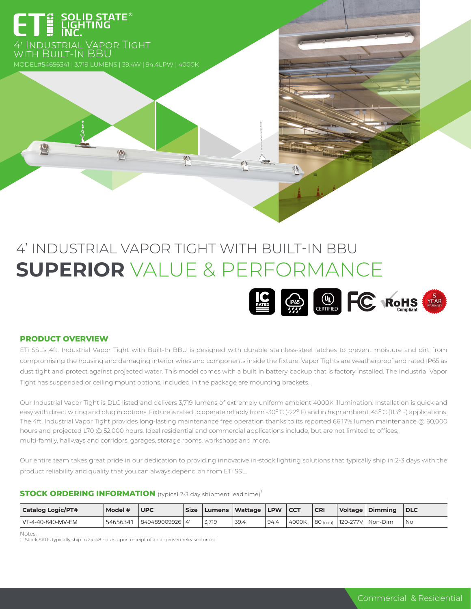

MODEL#54656341 | 3,719 LUMENS | 39.4W | 94.4LPW | 4000K

# 4' INDUSTRIAL VAPOR TIGHT WITH BUILT-IN BBU **SUPERIOR** VALUE & PERFORMANCE



## **PRODUCT OVERVIEW**

 $|\mathbf{V}|$ 

ETi SSL's 4ft. Industrial Vapor Tight with Built-In BBU is designed with durable stainless-steel latches to prevent moisture and dirt from compromising the housing and damaging interior wires and components inside the fixture. Vapor Tights are weatherproof and rated IP65 as dust tight and protect against projected water. This model comes with a built in battery backup that is factory installed. The Industrial Vapor Tight has suspended or ceiling mount options, included in the package are mounting brackets.

Our Industrial Vapor Tight is DLC listed and delivers 3,719 lumens of extremely uniform ambient 4000K illumination. Installation is quick and easy with direct wiring and plug in options. Fixture is rated to operate reliably from -30°C (-22°F) and in high ambient 45°C (113°F) applications. The 4ft. Industrial Vapor Tight provides long-lasting maintenance free operation thanks to its reported 66.17% lumen maintenance @ 60,000 hours and projected L70 @ 52,000 hours. Ideal residential and commercial applications include, but are not limited to offices, multi-family, hallways and corridors, garages, storage rooms, workshops and more.

Our entire team takes great pride in our dedication to providing innovative in-stock lighting solutions that typically ship in 2-3 days with the product reliability and quality that you can always depend on from ETi SSL.

| <b>Catalog Logic/PT#</b> | Model #  | <b>UPC</b>        | <b>Size</b> | l Lumens | Wattage | <b>LPW</b> | $ $ CCT | <b>CRI</b> |          | Voltage Dimming | <b>DLC</b> |
|--------------------------|----------|-------------------|-------------|----------|---------|------------|---------|------------|----------|-----------------|------------|
| VT-4-40-840-MV-EM        | 54656341 | 849489009926   4' |             | 3.719    | 39.4    | 94.4       | 4000K   | 80 (min)   | 120-277V | Non-Dim         | l No       |

## **STOCK ORDERING INFORMATION** (typical 2-3 day shipment lead time)<sup>1</sup>

Notes:

1. Stock SKUs typically ship in 24-48 hours upon receipt of an approved released order.